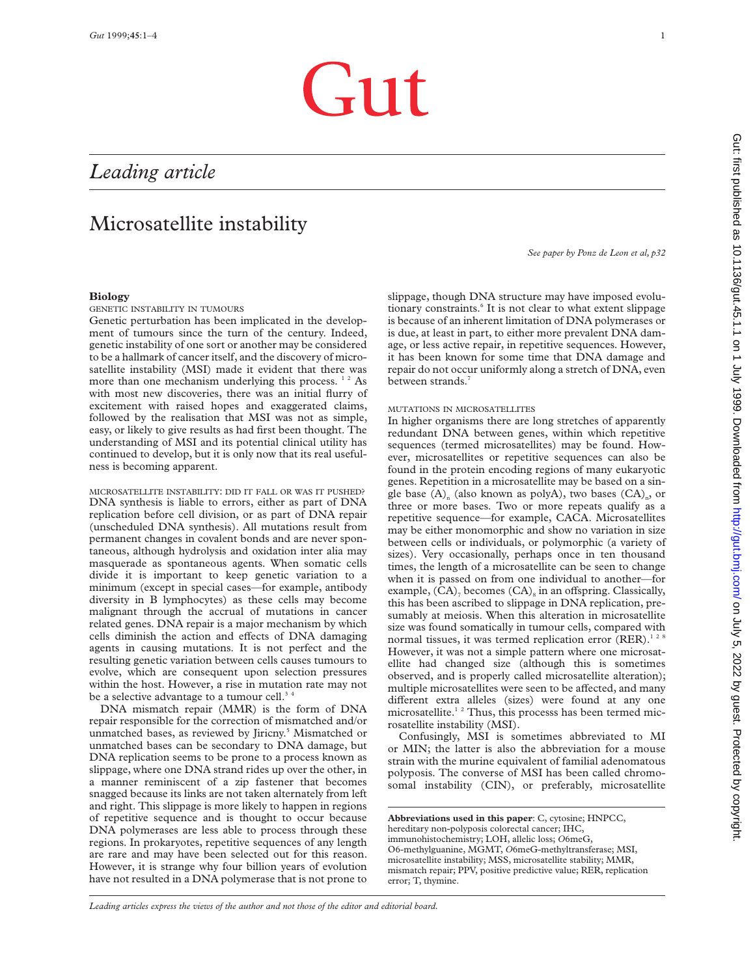# Gut

## *Leading article*

# Microsatellite instability

## **Biology**

GENETIC INSTABILITY IN TUMOURS

Genetic perturbation has been implicated in the development of tumours since the turn of the century. Indeed, genetic instability of one sort or another may be considered to be a hallmark of cancer itself, and the discovery of microsatellite instability (MSI) made it evident that there was more than one mechanism underlying this process.<sup>12</sup> As with most new discoveries, there was an initial flurry of excitement with raised hopes and exaggerated claims, followed by the realisation that MSI was not as simple, easy, or likely to give results as had first been thought. The understanding of MSI and its potential clinical utility has continued to develop, but it is only now that its real usefulness is becoming apparent.

MICROSATELLITE INSTABILITY: DID IT FALL OR WAS IT PUSHED? DNA synthesis is liable to errors, either as part of DNA replication before cell division, or as part of DNA repair (unscheduled DNA synthesis). All mutations result from permanent changes in covalent bonds and are never spontaneous, although hydrolysis and oxidation inter alia may masquerade as spontaneous agents. When somatic cells divide it is important to keep genetic variation to a minimum (except in special cases—for example, antibody diversity in B lymphocytes) as these cells may become malignant through the accrual of mutations in cancer related genes. DNA repair is a major mechanism by which cells diminish the action and effects of DNA damaging agents in causing mutations. It is not perfect and the resulting genetic variation between cells causes tumours to evolve, which are consequent upon selection pressures within the host. However, a rise in mutation rate may not be a selective advantage to a tumour cell.<sup>3</sup>

DNA mismatch repair (MMR) is the form of DNA repair responsible for the correction of mismatched and/or unmatched bases, as reviewed by Jiricny.<sup>5</sup> Mismatched or unmatched bases can be secondary to DNA damage, but DNA replication seems to be prone to a process known as slippage, where one DNA strand rides up over the other, in a manner reminiscent of a zip fastener that becomes snagged because its links are not taken alternately from left and right. This slippage is more likely to happen in regions of repetitive sequence and is thought to occur because DNA polymerases are less able to process through these regions. In prokaryotes, repetitive sequences of any length are rare and may have been selected out for this reason. However, it is strange why four billion years of evolution have not resulted in a DNA polymerase that is not prone to

*See paper by Ponz de Leon et al, p32*

slippage, though DNA structure may have imposed evolutionary constraints.<sup>6</sup> It is not clear to what extent slippage is because of an inherent limitation of DNA polymerases or is due, at least in part, to either more prevalent DNA damage, or less active repair, in repetitive sequences. However, it has been known for some time that DNA damage and repair do not occur uniformly along a stretch of DNA, even between strands.<sup>7</sup>

#### MUTATIONS IN MICROSATELLITES

In higher organisms there are long stretches of apparently redundant DNA between genes, within which repetitive sequences (termed microsatellites) may be found. However, microsatellites or repetitive sequences can also be found in the protein encoding regions of many eukaryotic genes. Repetition in a microsatellite may be based on a single base  $(A)$ <sub>n</sub> (also known as polyA), two bases  $(CA)$ <sub>n</sub>, or three or more bases. Two or more repeats qualify as a repetitive sequence—for example, CACA. Microsatellites may be either monomorphic and show no variation in size between cells or individuals, or polymorphic (a variety of sizes). Very occasionally, perhaps once in ten thousand times, the length of a microsatellite can be seen to change when it is passed on from one individual to another—for example,  $(CA)$ <sub>7</sub> becomes  $(CA)$ <sub>8</sub> in an offspring. Classically, this has been ascribed to slippage in DNA replication, presumably at meiosis. When this alteration in microsatellite size was found somatically in tumour cells, compared with normal tissues, it was termed replication error  $(RER)^{128}$ However, it was not a simple pattern where one microsatellite had changed size (although this is sometimes observed, and is properly called microsatellite alteration); multiple microsatellites were seen to be affected, and many different extra alleles (sizes) were found at any one microsatellite.<sup>12</sup> Thus, this processs has been termed microsatellite instability (MSI).

Confusingly, MSI is sometimes abbreviated to MI or MIN; the latter is also the abbreviation for a mouse strain with the murine equivalent of familial adenomatous polyposis. The converse of MSI has been called chromosomal instability (CIN), or preferably, microsatellite

**Abbreviations used in this paper**: C, cytosine; HNPCC, hereditary non-polyposis colorectal cancer; IHC, immunohistochemistry; LOH, allelic loss; *O*6meG, O6-methylguanine, MGMT, *O*6meG-methyltransferase; MSI, microsatellite instability; MSS, microsatellite stability; MMR, mismatch repair; PPV, positive predictive value; RER, replication error; T, thymine.

*Leading articles express the views of the author and not those of the editor and editorial board.*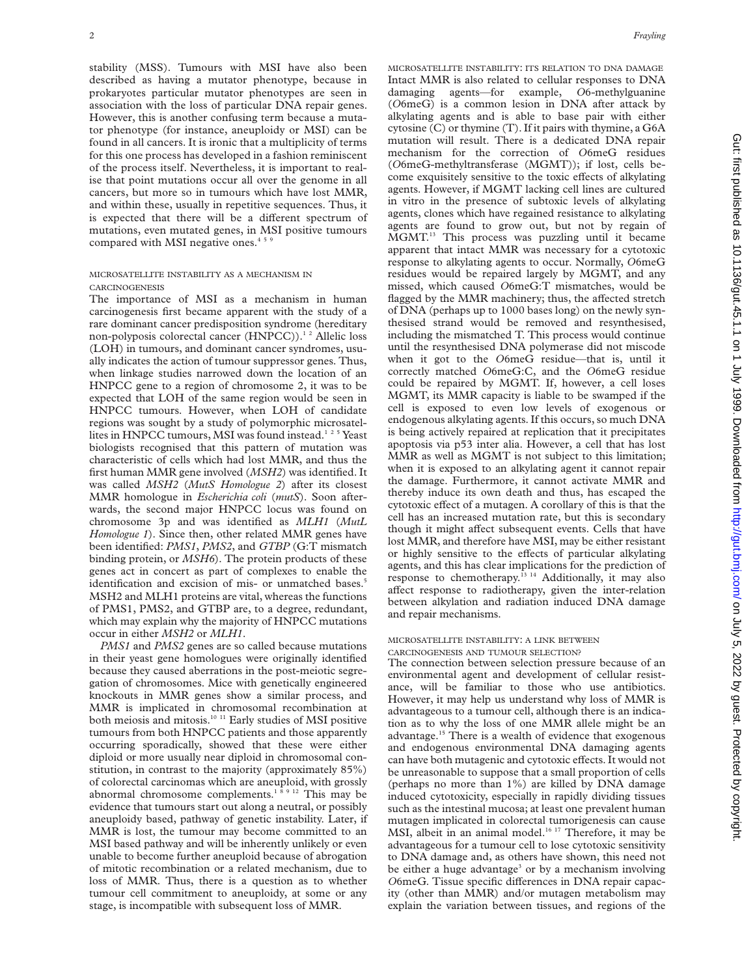stability (MSS). Tumours with MSI have also been described as having a mutator phenotype, because in prokaryotes particular mutator phenotypes are seen in association with the loss of particular DNA repair genes. However, this is another confusing term because a mutator phenotype (for instance, aneuploidy or MSI) can be found in all cancers. It is ironic that a multiplicity of terms for this one process has developed in a fashion reminiscent of the process itself. Nevertheless, it is important to realise that point mutations occur all over the genome in all cancers, but more so in tumours which have lost MMR, and within these, usually in repetitive sequences. Thus, it is expected that there will be a different spectrum of mutations, even mutated genes, in MSI positive tumours compared with MSI negative ones.<sup>45</sup>

#### MICROSATELLITE INSTABILITY AS A MECHANISM IN CARCINOGENESIS

The importance of MSI as a mechanism in human carcinogenesis first became apparent with the study of a rare dominant cancer predisposition syndrome (hereditary non-polyposis colorectal cancer (HNPCC)).<sup>12</sup> Allelic loss (LOH) in tumours, and dominant cancer syndromes, usually indicates the action of tumour suppressor genes. Thus, when linkage studies narrowed down the location of an HNPCC gene to a region of chromosome 2, it was to be expected that LOH of the same region would be seen in HNPCC tumours. However, when LOH of candidate regions was sought by a study of polymorphic microsatellites in HNPCC tumours, MSI was found instead.<sup>125</sup> Yeast biologists recognised that this pattern of mutation was characteristic of cells which had lost MMR, and thus the first human MMR gene involved (*MSH2*) was identified. It was called *MSH2* (*MutS Homologue 2*) after its closest MMR homologue in *Escherichia coli* (*mutS*). Soon afterwards, the second major HNPCC locus was found on chromosome 3p and was identified as *MLH1* (*MutL Homologue 1*). Since then, other related MMR genes have been identified: *PMS1*, *PMS2*, and *GTBP* (G:T mismatch binding protein, or *MSH6*). The protein products of these genes act in concert as part of complexes to enable the identification and excision of mis- or unmatched bases.<sup>5</sup> MSH2 and MLH1 proteins are vital, whereas the functions of PMS1, PMS2, and GTBP are, to a degree, redundant, which may explain why the majority of HNPCC mutations occur in either *MSH2* or *MLH1*.

*PMS1* and *PMS2* genes are so called because mutations in their yeast gene homologues were originally identified because they caused aberrations in the post-meiotic segregation of chromosomes. Mice with genetically engineered knockouts in MMR genes show a similar process, and MMR is implicated in chromosomal recombination at both meiosis and mitosis.10 11 Early studies of MSI positive tumours from both HNPCC patients and those apparently occurring sporadically, showed that these were either diploid or more usually near diploid in chromosomal constitution, in contrast to the majority (approximately 85%) of colorectal carcinomas which are aneuploid, with grossly abnormal chromosome complements.<sup>18912</sup> This may be evidence that tumours start out along a neutral, or possibly aneuploidy based, pathway of genetic instability. Later, if MMR is lost, the tumour may become committed to an MSI based pathway and will be inherently unlikely or even unable to become further aneuploid because of abrogation of mitotic recombination or a related mechanism, due to loss of MMR. Thus, there is a question as to whether tumour cell commitment to aneuploidy, at some or any stage, is incompatible with subsequent loss of MMR.

MICROSATELLITE INSTABILITY: ITS RELATION TO DNA DAMAGE Intact MMR is also related to cellular responses to DNA damaging agents—for example, *O*6-methylguanine (*O*6meG) is a common lesion in DNA after attack by alkylating agents and is able to base pair with either cytosine (C) or thymine (T). If it pairs with thymine, a G6A mutation will result. There is a dedicated DNA repair mechanism for the correction of *O*6meG residues (*O*6meG-methyltransferase (MGMT)); if lost, cells become exquisitely sensitive to the toxic effects of alkylating agents. However, if MGMT lacking cell lines are cultured in vitro in the presence of subtoxic levels of alkylating agents, clones which have regained resistance to alkylating agents are found to grow out, but not by regain of MGMT.13 This process was puzzling until it became apparent that intact MMR was necessary for a cytotoxic response to alkylating agents to occur. Normally, *O*6meG residues would be repaired largely by MGMT, and any missed, which caused *O*6meG:T mismatches, would be flagged by the MMR machinery; thus, the affected stretch of DNA (perhaps up to 1000 bases long) on the newly synthesised strand would be removed and resynthesised, including the mismatched T. This process would continue until the resynthesised DNA polymerase did not miscode when it got to the *O*6meG residue—that is, until it correctly matched *O*6meG:C, and the *O*6meG residue could be repaired by MGMT. If, however, a cell loses MGMT, its MMR capacity is liable to be swamped if the cell is exposed to even low levels of exogenous or endogenous alkylating agents. If this occurs, so much DNA is being actively repaired at replication that it precipitates apoptosis via p53 inter alia. However, a cell that has lost MMR as well as MGMT is not subject to this limitation; when it is exposed to an alkylating agent it cannot repair the damage. Furthermore, it cannot activate MMR and thereby induce its own death and thus, has escaped the cytotoxic effect of a mutagen. A corollary of this is that the cell has an increased mutation rate, but this is secondary though it might affect subsequent events. Cells that have lost MMR, and therefore have MSI, may be either resistant or highly sensitive to the effects of particular alkylating agents, and this has clear implications for the prediction of response to chemotherapy.13 14 Additionally, it may also affect response to radiotherapy, given the inter-relation between alkylation and radiation induced DNA damage and repair mechanisms.

#### MICROSATELLITE INSTABILITY: A LINK BETWEEN CARCINOGENESIS AND TUMOUR SELECTION?

The connection between selection pressure because of an environmental agent and development of cellular resistance, will be familiar to those who use antibiotics. However, it may help us understand why loss of MMR is advantageous to a tumour cell, although there is an indication as to why the loss of one MMR allele might be an advantage.15 There is a wealth of evidence that exogenous and endogenous environmental DNA damaging agents can have both mutagenic and cytotoxic effects. It would not be unreasonable to suppose that a small proportion of cells (perhaps no more than 1%) are killed by DNA damage induced cytotoxicity, especially in rapidly dividing tissues such as the intestinal mucosa; at least one prevalent human mutagen implicated in colorectal tumorigenesis can cause MSI, albeit in an animal model.<sup>16 17</sup> Therefore, it may be advantageous for a tumour cell to lose cytotoxic sensitivity to DNA damage and, as others have shown, this need not be either a huge advantage<sup>3</sup> or by a mechanism involving *O*6meG. Tissue specific differences in DNA repair capacity (other than MMR) and/or mutagen metabolism may explain the variation between tissues, and regions of the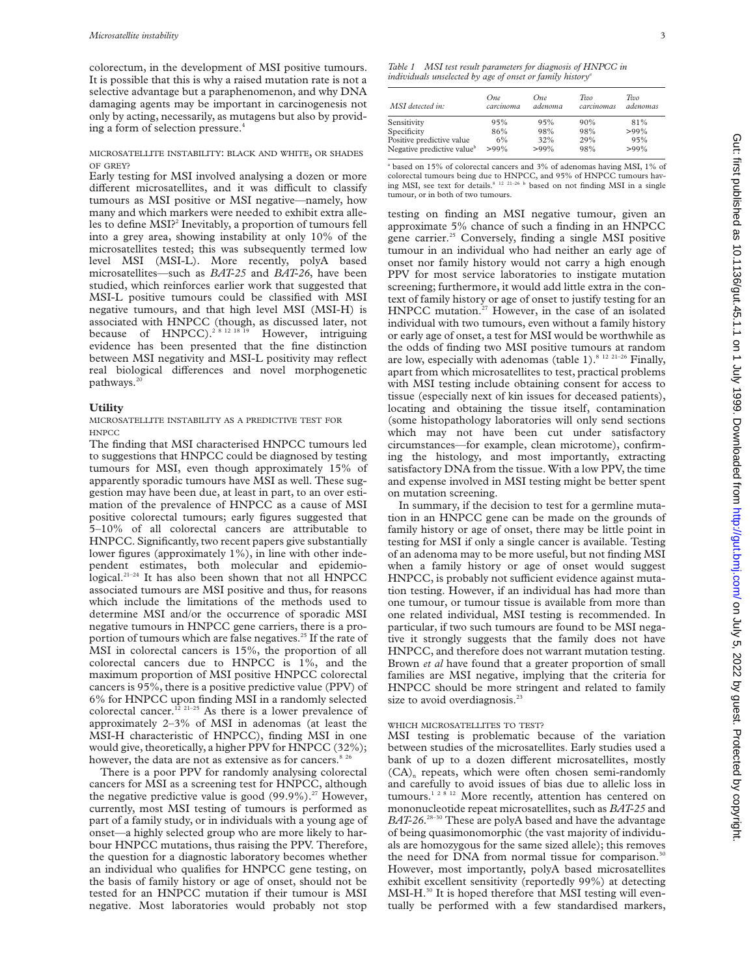colorectum, in the development of MSI positive tumours. It is possible that this is why a raised mutation rate is not a selective advantage but a paraphenomenon, and why DNA damaging agents may be important in carcinogenesis not only by acting, necessarily, as mutagens but also by providing a form of selection pressure.<sup>4</sup>

#### MICROSATELLITE INSTABILITY: BLACK AND WHITE, OR SHADES OF GREY?

Early testing for MSI involved analysing a dozen or more different microsatellites, and it was difficult to classify tumours as MSI positive or MSI negative—namely, how many and which markers were needed to exhibit extra alleles to define MSI?<sup>2</sup> Inevitably, a proportion of tumours fell into a grey area, showing instability at only 10% of the microsatellites tested; this was subsequently termed low level MSI (MSI-L). More recently, polyA based microsatellites—such as *BAT-25* and *BAT-26*, have been studied, which reinforces earlier work that suggested that MSI-L positive tumours could be classified with MSI negative tumours, and that high level MSI (MSI-H) is associated with HNPCC (though, as discussed later, not because of HNPCC).<sup>2 8 12 18 19</sup> However, intriguing evidence has been presented that the fine distinction between MSI negativity and MSI-L positivity may reflect real biological differences and novel morphogenetic pathways. $<sup>2</sup>$ </sup>

## **Utility**

MICROSATELLITE INSTABILITY AS A PREDICTIVE TEST FOR **HNPCC** 

The finding that MSI characterised HNPCC tumours led to suggestions that HNPCC could be diagnosed by testing tumours for MSI, even though approximately 15% of apparently sporadic tumours have MSI as well. These suggestion may have been due, at least in part, to an over estimation of the prevalence of HNPCC as a cause of MSI positive colorectal tumours; early figures suggested that 5–10% of all colorectal cancers are attributable to HNPCC. Significantly, two recent papers give substantially lower figures (approximately 1%), in line with other independent estimates, both molecular and epidemiological.<sup>21–24</sup> It has also been shown that not all  $\overline{H}$ NPCC associated tumours are MSI positive and thus, for reasons which include the limitations of the methods used to determine MSI and/or the occurrence of sporadic MSI negative tumours in HNPCC gene carriers, there is a proportion of tumours which are false negatives.<sup>25</sup> If the rate of MSI in colorectal cancers is 15%, the proportion of all colorectal cancers due to HNPCC is 1%, and the maximum proportion of MSI positive HNPCC colorectal cancers is 95%, there is a positive predictive value (PPV) of 6% for HNPCC upon finding MSI in a randomly selected colorectal cancer.<sup>12 21-25</sup> As there is a lower prevalence of approximately 2–3% of MSI in adenomas (at least the MSI-H characteristic of HNPCC), finding MSI in one would give, theoretically, a higher PPV for HNPCC (32%); however, the data are not as extensive as for cancers.<sup>8 26</sup>

There is a poor PPV for randomly analysing colorectal cancers for MSI as a screening test for HNPCC, although the negative predictive value is good  $(99.9\%)$ .<sup>27</sup> However, currently, most MSI testing of tumours is performed as part of a family study, or in individuals with a young age of onset—a highly selected group who are more likely to harbour HNPCC mutations, thus raising the PPV. Therefore, the question for a diagnostic laboratory becomes whether an individual who qualifies for HNPCC gene testing, on the basis of family history or age of onset, should not be tested for an HNPCC mutation if their tumour is MSI negative. Most laboratories would probably not stop

*Table 1 MSI test result parameters for diagnosis of HNPCC in individuals unselected by age of onset or family historya*

| MSI detected in:                       | One.      | One.    | Two        | Two      |
|----------------------------------------|-----------|---------|------------|----------|
|                                        | carcinoma | adenoma | carcinomas | adenomas |
| Sensitivity                            | 95%       | 95%     | 90%        | 81%      |
| Specificity                            | 86%       | 98%     | 98%        | $>99\%$  |
| Positive predictive value              | 6%        | 32%     | 29%        | 95%      |
| Negative predictive value <sup>b</sup> | $>99\%$   | $>99\%$ | 98%        | $>99\%$  |

<sup>a</sup> based on 15% of colorectal cancers and 3% of adenomas having MSI, 1% of colorectal tumours being due to HNPCC, and 95% of HNPCC tumours having MSI, see text for details.<sup>8 12 21-26 b</sup> based on not finding MSI in a single tumour, or in both of two tumours.

testing on finding an MSI negative tumour, given an approximate 5% chance of such a finding in an HNPCC gene carrier.<sup>25</sup> Conversely, finding a single MSI positive tumour in an individual who had neither an early age of onset nor family history would not carry a high enough PPV for most service laboratories to instigate mutation screening; furthermore, it would add little extra in the context of family history or age of onset to justify testing for an HNPCC mutation.<sup>27</sup> However, in the case of an isolated individual with two tumours, even without a family history or early age of onset, a test for MSI would be worthwhile as the odds of finding two MSI positive tumours at random are low, especially with adenomas (table 1).<sup>8 12 21-26</sup> Finally, apart from which microsatellites to test, practical problems with MSI testing include obtaining consent for access to tissue (especially next of kin issues for deceased patients), locating and obtaining the tissue itself, contamination (some histopathology laboratories will only send sections which may not have been cut under satisfactory circumstances—for example, clean microtome), confirming the histology, and most importantly, extracting satisfactory DNA from the tissue. With a low PPV, the time and expense involved in MSI testing might be better spent on mutation screening.

In summary, if the decision to test for a germline mutation in an HNPCC gene can be made on the grounds of family history or age of onset, there may be little point in testing for MSI if only a single cancer is available. Testing of an adenoma may to be more useful, but not finding MSI when a family history or age of onset would suggest HNPCC, is probably not sufficient evidence against mutation testing. However, if an individual has had more than one tumour, or tumour tissue is available from more than one related individual, MSI testing is recommended. In particular, if two such tumours are found to be MSI negative it strongly suggests that the family does not have HNPCC, and therefore does not warrant mutation testing. Brown *et al* have found that a greater proportion of small families are MSI negative, implying that the criteria for HNPCC should be more stringent and related to family size to avoid overdiagnosis.<sup>23</sup>

#### WHICH MICROSATELLITES TO TEST?

MSI testing is problematic because of the variation between studies of the microsatellites. Early studies used a bank of up to a dozen different microsatellites, mostly  $(CA)$ <sub>n</sub> repeats, which were often chosen semi-randomly and carefully to avoid issues of bias due to allelic loss in tumours.<sup>12812</sup> More recently, attention has centered on mononucleotide repeat microsatellites, such as *BAT-25* and BAT-26.<sup>28-30</sup> These are polyA based and have the advantage of being quasimonomorphic (the vast majority of individuals are homozygous for the same sized allele); this removes the need for DNA from normal tissue for comparison.<sup>30</sup> However, most importantly, polyA based microsatellites exhibit excellent sensitivity (reportedly 99%) at detecting MSI-H.<sup>30</sup> It is hoped therefore that MSI testing will eventually be performed with a few standardised markers,